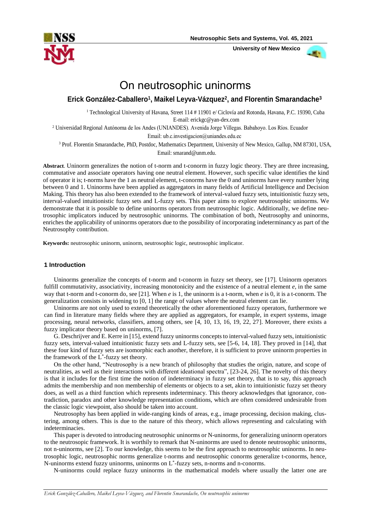

 **University of New Mexico**



# On neutrosophic uninorms

# **Erick González-Caballero1, Maikel Leyva-Vázquez2, and Florentin Smarandache3**

1 Technological University of Havana, Street 114 # 11901 e/ Ciclovía and Rotonda, Havana, [P.C. 19390, Cuba](mailto:erickgc@yandex.com)  [E-mail: eri](mailto:erickgc@yandex.com)ckgc@yan-dex.com

<sup>2</sup> Universidad Regional Autónoma de los Andes (UNIANDES). Avenida Jorge Villegas. Babahoyo. Los Ríos. Ecuador

Email: ub.c.investigacion@uniandes.edu.ec

3 Prof. Florentin Smarandache, PhD, Postdoc, Math[ematics Department](mailto:smarand@unm.edu), University of New Mexico, Gallup, NM 87301, USA, Email: smarand@unm.edu.

**Abstract**. Uninorm generalizes the notion of t-norm and t-conorm in fuzzy logic theory. They are three increasing, commutative and associate operators having one neutral element. However, such specific value identifies the kind of operator it is; t-norms have the 1 as neutral element, t-conorms have the 0 and uninorms have every number lying between 0 and 1. Uninorms have been applied as aggregators in many fields of Artificial Intelligence and Decision Making. This theory has also been extended to the framework of interval-valued fuzzy sets, intuitionistic fuzzy sets, interval-valued intuitionistic fuzzy sets and L-fuzzy sets. This paper aims to explore neutrosophic uninorms. We demonstrate that it is possible to define uninorms operators from neutrosophic logic. Additionally, we define neutrosophic implicators induced by neutrosophic uninorms. The combination of both, Neutrosophy and uninorms, enriches the applicability of uninorms operators due to the possibility of incorporating indeterminancy as part of the Neutrosophy contribution.

**Keywords:** neutrosophic uninorm, uninorm, neutrosophic logic, neutrosophic implicator.

# **1 Introduction**

Uninorms generalize the concepts of t-norm and t-conorm in fuzzy set theory, see [17]. Uninorm operators fulfill commutativity, associativity, increasing monotonicity and the existence of a neutral element *e*, in the same way that t-norm and t-conorm do, see [21]. When *e* is 1, the uninorm is a t-norm, when *e* is 0, it is a t-conorm. The generalization consists in widening to [0, 1] the range of values where the neutral element can lie.

Uninorms are not only used to extend theoretically the other aforementioned fuzzy operators, furthermore we can find in literature many fields where they are applied as aggregators, for example, in expert systems, image processing, neural networks, classifiers, among others, see [4, 10, 13, 16, 19, 22, 27]. Moreover, there exists a fuzzy implicator theory based on uninorms, [7].

G. Deschrijver and E. Kerre in [15], extend fuzzy uninorms concepts to interval-valued fuzzy sets, intuitionistic fuzzy sets, interval-valued intuitionistic fuzzy sets and L-fuzzy sets, see [5-6, 14, 18]. They proved in [14], that these four kind of fuzzy sets are isomorphic each another, therefore, it is sufficient to prove uninorm properties in the framework of the L\* -fuzzy set theory.

On the other hand, "Neutrosophy is a new branch of philosophy that studies the origin, nature, and scope of neutralities, as well as their interactions with different ideational spectra", [23-24, 26]. The novelty of this theory is that it includes for the first time the notion of indeterminacy in fuzzy set theory, that is to say, this approach admits the membership and non membership of elements or objects to a set, akin to intuitionistic fuzzy set theory does, as well as a third function which represents indeterminacy. This theory acknowledges that ignorance, contradiction, paradox and other knowledge representation conditions, which are often considered undesirable from the classic logic viewpoint, also should be taken into account.

Neutrosophy has been applied in wide-ranging kinds of areas, e.g., image processing, decision making, clustering, among others. This is due to the nature of this theory, which allows representing and calculating with indeterminacies.

This paper is devoted to introducing neutrosophic uninorms or N-uninorms, for generalizing uninorm operators to the neutrosopic framework. It is worthily to remark that N-uninorms are used to denote neutrosophic uninorms, not n-uninorms, see [2]. To our knowledge, this seems to be the first approach to neutrosophic uninorms. In neutrosophic logic, neutrosophic norms generalize t-norms and neutrosophic conorms generalize t-conorms, hence, N-uninorms extend fuzzy uninorms, uninorms on L\* -fuzzy sets, n-norms and n-conorms.

N-uninorms could replace fuzzy uninorms in the mathematical models where usually the latter one are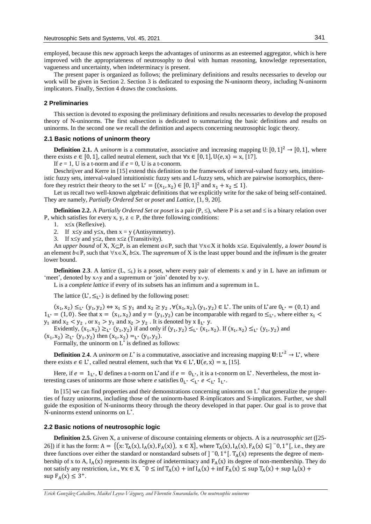employed, because this new approach keeps the advantages of uninorms as an esteemed aggregator, which is here improved with the appropriateness of neutrosophy to deal with human reasoning, knowledge representation, vagueness and uncertainty, when indeterminacy is present.

The present paper is organized as follows; the preliminary definitions and results necessaries to develop our work will be given in Section 2. Section 3 is dedicated to exposing the N-uninorm theory, including N-uninorm implicators. Finally, Section 4 draws the conclusions.

#### **2 Preliminaries**

This section is devoted to exposing the preliminary definitions and results necessaries to develop the proposed theory of N-uninorms. The first subsection is dedicated to summarizing the basic definitions and results on uninorms. In the second one we recall the definition and aspects concerning neutrosophic logic theory.

### **2.1 Basic notions of uninorm theory**

**Definition 2.1.** A *uninorm* is a commutative, associative and increasing mapping U:  $[0, 1]^2 \rightarrow [0, 1]$ , where there exists  $e \in [0, 1]$ , called neutral element, such that  $\forall x \in [0, 1]$ ,  $U(e, x) = x$ , [17].

If  $e = 1$ , U is a t-norm and if  $e = 0$ , U is a t-conorm.

Deschrijver and Kerre in [15] extend this definition to the framework of interval-valued fuzzy sets, intuitionistic fuzzy sets, interval-valued intuitionistic fuzzy sets and L-fuzzy sets, which are pairwise isomorphics, therefore they restrict their theory to the set  $L^* = \{(x_1, x_2) \in [0, 1]^2 \text{ and } x_1 + x_2 \le 1\}.$ 

Let us recall two well-known algebraic definitions that we explicitly write for the sake of being self-contained. They are namely, *Partially Ordered Set* or *poset* and *Lattice*, [1, 9, 20].

**Definition 2.2.** A *Partially Ordered Set* or *poset* is a pair  $(P, \leq)$ , where P is a set and  $\leq$  is a binary relation over P, which satisfies for every x, y,  $z \in P$ , the three following conditions:

1.  $x \leq x$  (Reflexive).

2. If  $x \leq y$  and  $y \leq x$ , then  $x = y$  (Antisymmetry).

3. If  $x \leq y$  and  $y \leq z$ , then  $x \leq z$  (Transitivity).

An *upper bound* of X,  $X \subseteq P$ , is an element  $a \in P$ , such that  $\forall x \in X$  it holds  $x \leq a$ . Equivalently, a *lower bound* is an element  $b \in P$ , such that  $\forall x \in X$ ,  $b \leq x$ . The *supremum* of X is the least upper bound and the *infimum* is the greater lower bound.

**Definition 2.3**. A *lattice*  $(L, \leq_L)$  is a poset, where every pair of elements x and y in L have an infimum or 'meet', denoted by  $x \wedge y$  and a supremum or 'join' denoted by  $x \vee y$ .

L is a *complete lattice* if every of its subsets has an infimum and a supremum in L.

The lattice  $(L^*, \leq_{L^*})$  is defined by the following poset:

 $(x_1, x_2) \leq_L^x (y_1, y_2) \Leftrightarrow x_1 \leq y_1$  and  $x_2 \geq y_2$ ,  $\forall (x_1, x_2), (y_1, y_2) \in L^*$ . The units of  $L^*$  are  $0_L^* = (0, 1)$  and  $1_{L^*} = (1, 0)$ . See that  $x = (x_1, x_2)$  and  $y = (y_1, y_2)$  can be incomparable with regard to  $\leq_{L^*}$ , where either  $x_1$  $y_1$  and  $x_2 < y_2$ , or  $x_1 > y_1$  and  $x_2 > y_2$ . It is denoted by  $x \parallel_{L^*} y$ .

Evidently,  $(x_1, x_2) \ge_{L^*} (y_1, y_2)$  if and only if  $(y_1, y_2) \le_{L^*} (x_1, x_2)$ . If  $(x_1, x_2) \le_{L^*} (y_1, y_2)$  and  $(x_1, x_2) \geq_{L^*} (y_1, y_2)$  then  $(x_1, x_2) =_{L^*} (y_1, y_2)$ .

Formally, the uninorm on  $L^*$  is defined as follows:

**Definition 2.4.** A *uninorm on* L<sup>\*</sup> is a commutative, associative and increasing mapping  $U: L^{*2} \to L^*$ , where there exists  $e \in L^*$ , called neutral element, such that  $\forall x \in L^*$ ,  $U(e, x) = x$ , [15].

Here, if  $e = 1_{L^*}$ , U defines a t-norm on L<sup>\*</sup> and if  $e = 0_{L^*}$ , it is a t-conorm on L<sup>\*</sup>. Nevertheless, the most interesting cases of uninorms are those where *e* satisfies  $0_L^* <_L^* e <_L^* 1_L^*$ .

In [15] we can find properties and their demonstrations concerning uninorms on L<sup>\*</sup> that generalize the properties of fuzzy uninorms, including those of the uninorm-based R-implicators and S-implicators. Further, we shall guide the exposition of N-uninorms theory through the theory developed in that paper. Our goal is to prove that N-uninorms extend uninorms on L\* .

#### **2.2 Basic notions of neutrosophic logic**

**Definition 2.5.** Given X, a universe of discourse containing elements or objects. A is a *neutrosophic set* ([25- 26]) if it has the form:  $A = \{ (x: T_A(x), I_A(x), F_A(x)), x \in X \}$ , where  $T_A(x), I_A(x), F_A(x) \subseteq ]\n\begin{bmatrix} -0, 1^+ \end{bmatrix}$ , i.e., they are three functions over either the standard or nonstandard subsets of  $]$  <sup>-</sup>0, 1<sup>+</sup>[. T<sub>A</sub>(x) represents the degree of membership of x to A,  $I_A(x)$  represents its degree of indeterminacy and  $F_A(x)$  its degree of non-membership. They do not satisfy any restriction, i.e.,  $\forall x \in X$ ,  $\bar{0} \le \inf T_A(x) + \inf I_A(x) + \inf F_A(x) \le \sup T_A(x) + \sup I_A(x) + \bar{0}$  $\sup F_A(x) \leq 3^+$ .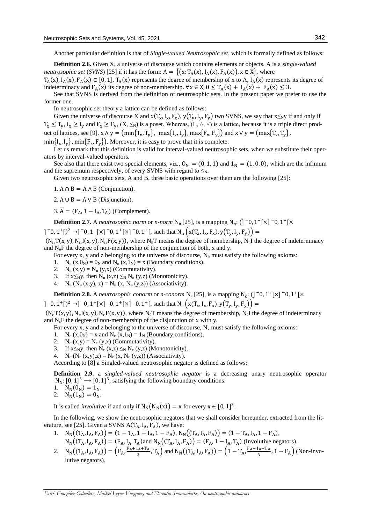Another particular definition is that of *Single-valued Neutrosophic set*, which is formally defined as follows:

**Definition 2.6.** Given X, a universe of discourse which contains elements or objects. A is a *single-valued neutrosophic set* (*SVNS*) [25] if it has the form:  $A = \{ (x: T_A(x), I_A(x), F_A(x)), x \in X \}$ , where  $T_A(x)$ ,  $I_A(x)$ ,  $F_A(x) \in [0, 1]$ .  $T_A(x)$  represents the degree of membership of x to A,  $I_A(x)$  represents its degree of

indeterminacy and  $F_A(x)$  its degree of non-membership.  $\forall x \in X, 0 \le T_A(x) + I_A(x) + F_A(x) \le 3$ . See that SVNS is derived from the definition of neutrosophic sets. In the present paper we prefer to use the

former one.

In neutrosophic set theory a lattice can be defined as follows:

Given the universe of discourse X and  $x(T_x, I_x, F_x)$ ,  $y(T_y, I_y, F_y)$  two SVNS, we say that  $x \leq_N y$  if and only if  $T_x \leq T_y$ ,  $I_x \geq I_y$  and  $F_x \geq F_y$ ,  $(X, \leq_N)$  is a poset. Whereas,  $(L, \wedge, \vee)$  is a lattice, because it is a triple direct product of lattices, see [9].  $x \wedge y = \left( \min\{ T_x, T_y \} , \max\{ I_x, I_y \} , \max\{ F_x, F_y \} \right)$  and  $x \vee y = \left( \max\{ T_x, T_y \} , \min\{ T_y, I_y \} , \max\{ T_y, I_y \} \right)$  $\min\{I_x, I_y\}$ ,  $\min\{F_x, F_y\}$ ). Moreover, it is easy to prove that it is complete.

Let us remark that this definition is valid for interval-valued neutrosophic sets, when we substitute their operators by interval-valued operators.

See also that there exist two special elements, viz.,  $O_N = (0, 1, 1)$  and  $1_N = (1, 0, 0)$ , which are the infimum and the supremum respectively, of every SVNS with regard to  $\leq_N$ .

Given two neutrosophic sets, A and B, three basic operations over them are the following [25]:

1. A  $\cap$  B = A  $\land$  B (Conjunction).

2. A ∪ B = A ∨ B (Disjunction).

3.  $\overline{A} = (F_A, 1 - I_A, T_A)$  (Complement).

**Definition 2.7.** A *neutrosophic norm* or *n-norm* N<sub>n</sub> [25], is a mapping N<sub>n</sub>: (] <sup>-</sup>0, 1<sup>+</sup>[×] <sup>-</sup>0, 1<sup>+</sup>[×

]  $\lceil$  −0, 1<sup>+</sup>[ $\rangle$ <sup>2</sup> →]  $\lceil$  −0, 1<sup>+</sup>[ $\times$ ]  $\lceil$  −0, 1<sup>+</sup>[ $\lceil$ , such that N<sub>n</sub>  $\left($  x(T<sub>x</sub>, I<sub>x</sub>, F<sub>x</sub>), y(T<sub>y</sub>, I<sub>y</sub>, F<sub>y</sub>)) =

 $(N_nT(x, y), N_nI(x, y), N_nF(x, y))$ , where N<sub>n</sub>T means the degree of membership, N<sub>n</sub>I the degree of indeterminacy and  $N_nF$  the degree of non-membership of the conjunction of both, x and y.

For every x, y and z belonging to the universe of discourse,  $N_n$  must satisfy the following axioms:

1.  $N_n(x,0_N) = 0_N$  and  $N_n(x,1_N) = x$  (Boundary conditions).

- 2.  $N_n(x,y) = N_n(y,x)$  (Commutativity).
- 3. If  $x \leq_N y$ , then  $N_n(x,z) \leq_N N_n(y,z)$  (Monotonicity).
- 4.  $N_n (N_n (x, y), z) = N_n (x, N_n (y, z))$  (Associativity).

**Definition 2.8.** A *neutrosophic conorm* or *n*-conorm N<sub>c</sub> [25], is a mapping N<sub>c</sub>: (] <sup>-</sup>0, 1<sup>+</sup>[×] <sup>-</sup>0, 1<sup>+</sup>[×

]  $\lceil$  −0, 1<sup>+</sup>[ $\rangle$ <sup>2</sup> →]  $\lceil$  −0, 1<sup>+</sup>[ $\times$ ]  $\lceil$  −0, 1<sup>+</sup>[ $\lceil$ , such that N<sub>c</sub> (x(T<sub>x</sub>, I<sub>x</sub>, F<sub>x</sub>), y(T<sub>y</sub>, I<sub>y</sub>, F<sub>y</sub>)) =

 $(N_cT(x, y), N_cI(x, y), N_cF(x, y))$ , where N<sub>c</sub>T means the degree of membership, N<sub>c</sub>I the degree of indeterminacy and  $N_cF$  the degree of non-membership of the disjunction of x with y.

For every x, y and z belonging to the universe of discourse,  $N_c$  must satisfy the following axioms:

- 1. N<sub>c</sub> (x,0<sub>N</sub>) = x and N<sub>c</sub> (x,1<sub>N</sub>) = 1<sub>N</sub> (Boundary conditions).
- 2.  $N_c(x,y) = N_c(y,x)$  (Commutativity).
- 3. If  $x\leq_N y$ , then  $N_c(x,z) \leq_N N_c(y,z)$  (Monotonicity).
- 4. N<sub>c</sub> (N<sub>c</sub> (x,y),z) = N<sub>c</sub> (x, N<sub>c</sub> (y,z)) (Associativity).

According to [8] a Singled-valued neutrosophic negator is defined as follows:

**Definition 2.9.** a *singled-valued neutrosophic negator* is a decreasing unary neutrosophic operator  $N_N$ : [0, 1]<sup>3</sup>  $\rightarrow$  [0, 1]<sup>3</sup>, satisfying the following boundary conditions:

$$
1. \quad N_N(0_N) = 1_N.
$$

2.  $N_N(1_N) = 0_N$ .

It is called *involutive* if and only if  $N_N(N_N(x)) = x$  for every  $x \in [0, 1]^3$ .

In the following, we show the neutrosophic negators that we shall consider hereunder, extracted from the literature, see [25]. Given a SVNS  $A(T_A, I_A, F_A)$ , we have:

- 1.  $N_N((T_A, I_A, F_A)) = (1 T_A, 1 I_A, 1 F_A), N_N((T_A, I_A, F_A)) = (1 T_A, I_A, 1 F_A),$  $N_N((T_A, I_A, F_A)) = (F_A, I_A, T_A)$ and  $N_N((T_A, I_A, F_A)) = (F_A, 1 - I_A, T_A)$  (Involutive negators).
- 2.  $N_N((T_A, I_A, F_A)) = (F_A, \frac{F_A + I_A + T_A}{2})$  $\frac{I_A + T_A}{3}$ , T<sub>A</sub>) and N<sub>N</sub>((T<sub>A</sub>, I<sub>A</sub>, F<sub>A</sub>)) = (1 – T<sub>A</sub>,  $\frac{F_A + I_A + T_A}{3}$  $\frac{R_{A}+R_{A}}{3}$ , 1 –  $F_A$ ) (Non-involutive negators).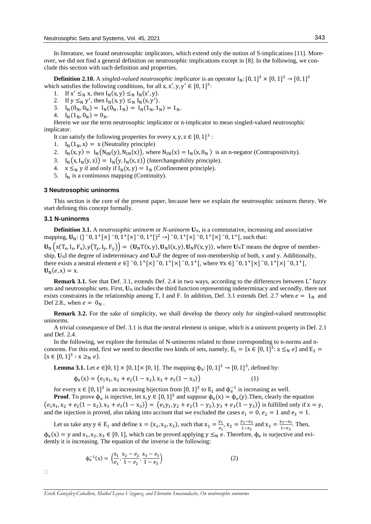In literature, we found neutrosophic implicators, which extend only the notion of S-implications [11]. Moreover, we did not find a general definition on neutrosophic implications except in [8]. In the following, we conclude this section with such definition and properties.

**Definition 2.10.** A *singled-valued neutrosophic implicator* is an operator  $I_N$ :  $[0, 1]^3 \times [0, 1]^3 \to [0, 1]^3$ which satisfies the following conditions, for all x, x', y, y'  $\in [0, 1]^3$ :

- 1. If  $x' \leq_N x$ , then  $I_N(x, y) \leq_N I_N(x', y)$ .
- 2. If  $y \leq_N y'$ , then  $I_N(x, y) \leq_N I_N(x, y')$ .
- 3.  $I_N(0_N, 0_N) = I_N(0_N, 1_N) = I_N(1_N, 1_N) = 1_N$ .
- 4.  $I_N(1_N, 0_N) = 0_N$ .

Herein we use the term neutrosophic implicator or n-implicator to mean singled-valued neutrosophic implicator.

It can satisfy the following properties for every x, y,  $z \in [0, 1]^3$ :

- 1.  $I_N(1_N, x) = x$  (Neutrality principle)
- 2.  $I_N(x, y) = I_N(N_{1N}(y), N_{1N}(x))$ , where  $N_{1N}(x) = I_N(x, 0_N)$  is an n-negator (Contrapositivity).
- 3.  $I_N(x, I_N(y, z)) = I_N(y, I_N(x, z))$  (Interchangeability principle).
- 4.  $x \leq_N y$  if and only if  $I_N(x, y) = 1_N$  (Confinement principle).
- 5.  $I_N$  is a continuous mapping (Continuity).

#### **3 Neutrosophic uninorms**

This section is the core of the present paper, because here we explain the neutrosophic uninorm theory. We start defining this concept formally.

#### **3.1 N-uninorms**

**Definition 3.1.** A *neutrosophic uninorm* or *N-uninorm*  $\mathbf{U}_N$ , is a commutative, increasing and associative mapping,  $\mathbf{U}_N$ : (]  $\bar{0}$ , 1<sup>+</sup>[ $\times$ ]  $\bar{0}$ , 1<sup>+</sup>[ $\times$ ]  $\bar{0}$ , 1<sup>+</sup>[ $\rightarrow$ ]  $\bar{0}$ , 1<sup>+</sup>[ $\times$ ]  $\bar{0}$ , 1<sup>+</sup>[ $\times$ ]  $\bar{0}$ , 1<sup>+</sup>[ $\bar{0}$ , 1<sup>+</sup>[ $\bar{0}$ , 1<sup>+</sup>[ $\bar{0}$ , 1<sup>+</sup>[ $\bar{0}$ , 1<sup>+</sup>[ $\bar{0}$ , 1<sup>+</sup>[ $\bar{0}$ , 1<sup>+</sup>[  $\mathbf{U}_N\left(x(T_x, I_x, F_x), y(T_y, I_y, F_y)\right) = (\mathbf{U}_N T(x, y), \mathbf{U}_N I(x, y), \mathbf{U}_N F(x, y)),$  where  $\mathbf{U}_N T$  means the degree of membership,  $U_N$ I the degree of indeterminacy and  $U_N$ F the degree of non-membership of both, x and y. Additionally, there exists a neutral element  $e \in ]0, 1 + [x]0, 1 + [x]0, 1 + [$ , where  $\forall x \in ]0, 1 + [x]0, 1 + [x]0, 1 + [$ ,  $$ 

**Remark 3.1.** See that Def. 3.1, extends Def. 2.4 in two ways, according to the differences between L<sup>\*</sup> fuzzy sets and neutrosophic sets. First,  $U_N$  includes the third function representing indeterminacy and secondly, there not exists constraints in the relationship among T, I and F. In addition, Def. 3.1 extends Def. 2.7 when  $e = 1<sub>N</sub>$  and Def 2.8., when  $e = 0<sub>N</sub>$ .

**Remark 3.2.** For the sake of simplicity, we shall develop the theory only for singled-valued neutrosophic uninorms.

A trivial consequence of Def. 3.1 is that the neutral element is unique, which is a uninorm property in Def. 2.1 and Def. 2.4.

In the following, we explore the formulas of N-uninorms related to those corresponding to n-norms and nconorms. For this end, first we need to describe two kinds of sets, namely,  $E_1 = \{x \in [0, 1]^3 : x \leq_N e\}$  and  $E_2 =$  ${x \in [0, 1]^3 : x \geq_N e}.$ 

**Lemma 3.1.** Let  $e \in ]0,1] \times [0,1[ \times [0,1[$ . The mapping  $\phi_e$ : [0, 1]<sup>3</sup> → [0, 1]<sup>3</sup>, defined by:

$$
\Phi_e(x) = (e_1x_1, x_2 + e_2(1 - x_2), x_3 + e_3(1 - x_3))
$$
\n(1)

for every  $x \in [0, 1]^3$  is an increasing bijection from  $[0, 1]^3$  to  $E_1$  and  $\phi_e^{-1}$  is increasing as well.

**Proof**. To prove  $\phi_e$  is injective, let x,  $y \in [0, 1]^3$  and suppose  $\phi_e(x) = \phi_e(y)$ . Then, clearly the equation  $(e_1x_1, x_2 + e_2(1-x_2), x_3 + e_3(1-x_3)) = (e_1y_1, y_2 + e_2(1-y_2), y_3 + e_3(1-y_3))$  is fulfilled only if  $x = y$ , and the injection is proved, also taking into account that we excluded the cases  $e_1 = 0$ ,  $e_2 = 1$  and  $e_3 = 1$ .

Let us take any  $y \in E_1$  and define  $x = (x_1, x_2, x_3)$ , such that  $x_1 = \frac{y_1}{e_1}$  $\frac{y_1}{e_1}$ ,  $x_2 = \frac{y_2 - e_2}{1 - e_2}$  $\frac{y_2 - e_2}{1 - e_2}$  and  $x_3 = \frac{y_3 - e_3}{1 - e_3}$  $\frac{\sqrt{3}-e_3}{1-e_3}$ . Then,  $\phi_e(x) = y$  and  $x_1, x_2, x_3 \in [0, 1]$ , which can be proved applying  $y \leq_N e$ . Therefore,  $\phi_e$  is surjective and evidently it is increasing. The equation of the inverse is the following:

$$
\Phi_e^{-1}(x) = \left(\frac{x_1}{e_1}, \frac{x_2 - e_2}{1 - e_2}, \frac{x_3 - e_3}{1 - e_3}\right)
$$
 (2)

 $\Box$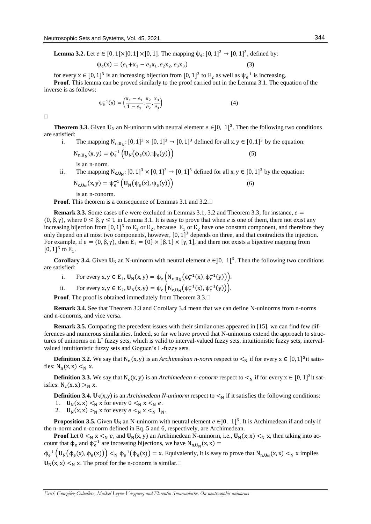**Lemma 3.2.** Let  $e \in [0, 1[\times]0, 1] \times ]0, 1]$ . The mapping  $\psi_e: [0, 1]^3 \to [0, 1]^3$ , defined by:

$$
\psi_e(x) = (e_1 + x_1 - e_1 x_1, e_2 x_2, e_3 x_3)
$$
\n(3)

for every  $x \in [0, 1]^3$  is an increasing bijection from  $[0, 1]^3$  to  $E_2$  as well as  $\psi_e^{-1}$  is increasing. **Proof**. This lemma can be proved similarly to the proof carried out in the Lemma 3.1. The equation of the inverse is as follows:

$$
\psi_e^{-1}(x) = \left(\frac{x_1 - e_1}{1 - e_1}, \frac{x_2}{e_2}, \frac{x_3}{e_3}\right)
$$
(4)

 $\Box$ 

**Theorem 3.3.** Given  $U_N$  an N-uninorm with neutral element  $e \in ]0, 1[^3$ . Then the following two conditions are satisfied:

- i. The mapping  $N_{n,U_N}$ :  $[0, 1]^3 \times [0, 1]^3 \rightarrow [0, 1]^3$  defined for all  $x, y \in [0, 1]^3$  by the equation:
	- $N_{n,U_N}(x, y) = \phi_e^{-1} (U_N(\phi_e(x), \phi_e(y)))$  (5)

is an n-norm.

ii. The mapping  $N_{c,U_N}$ :  $[0, 1]^3 \times [0, 1]^3 \rightarrow [0, 1]^3$  defined for all  $x, y \in [0, 1]^3$  by the equation:  $N_{c,U_N}(x, y) = \psi_e^{-1} (U_N(\psi_e(x), \psi_e(y)))$  (6)

is an n-conorm.

**Proof.** This theorem is a consequence of Lemmas 3.1 and 3.2.

**Remark 3.3.** Some cases of *e* were excluded in Lemmas 3.1, 3.2 and Theorem 3.3, for instance,  $e =$  $(0, \beta, \gamma)$ , where  $0 \leq \beta, \gamma \leq 1$  in Lemma 3.1. It is easy to prove that when *e* is one of them, there not exist any increasing bijection from [0, 1]<sup>3</sup> to  $E_1$  or  $E_2$ , because  $E_1$  or  $E_2$  have one constant component, and therefore they only depend on at most two components, however,  $[0, 1]^3$  depends on three, and that contradicts the injection. For example, if  $e = (0, \beta, \gamma)$ , then  $E_1 = \{0\} \times [\beta, 1] \times [\gamma, 1]$ , and there not exists a bijective mapping from [0, 1]<sup>3</sup> to  $E_1$ .

**Corollary 3.4.** Given  $U_N$  an N-uninorm with neutral element  $e \in ]0, 1[^3$ . Then the following two conditions are satisfied:

- i. For every  $x, y \in E_1$ ,  $\mathbf{U}_N(x, y) = \phi_e \left( N_{n, \mathbf{U}_N} \left( \phi_e^{-1}(x), \phi_e^{-1}(y) \right) \right)$ .
- ii. For every  $x, y \in E_2$ ,  $\mathbf{U}_N(x, y) = \psi_e \left( N_{c, U_N} \left( \psi_e^{-1}(x), \psi_e^{-1}(y) \right) \right)$ .

**Proof.** The proof is obtained immediately from Theorem 3.3.

**Remark 3.4.** See that Theorem 3.3 and Corollary 3.4 mean that we can define N-uninorms from n-norms and n-conorms, and vice versa.

**Remark 3.5.** Comparing the precedent issues with their similar ones appeared in [15], we can find few differences and numerous similarities. Indeed, so far we have proved that N-uninorms extend the approach to structures of uninorms on L\* fuzzy sets, which is valid to interval-valued fuzzy sets, intuitionistic fuzzy sets, intervalvalued intuitionistic fuzzy sets and Goguen's L-fuzzy sets.

**Definition 3.2.** We say that  $N_n(x, y)$  is an *Archimedean n-norm* respect to  $\lt_N$  if for every  $x \in [0, 1]^3$  it satisfies:  $N_n(x, x) <_N x$ .

**Definition 3.3.** We say that  $N_c(x, y)$  is an *Archimedean n-conorm* respect to  $\lt_N$  if for every  $x \in [0, 1]^3$  it satisfies:  $N_c(x, x) >_N x$ .

**Definition 3.4.** U<sub>N</sub>(x,y) is an *Archimedean N-uninorm* respect to  $\lt_N$  if it satisfies the following conditions:

- 1.  $\mathbf{U}_N(x, x) \leq_N x$  for every  $0 \leq_N x \leq_N e$ .
- 2.  $\mathbf{U}_N(x, x) >_N x$  for every  $e <_N x <_N 1_N$ .

**Proposition 3.5.** Given  $U_N$  an N-uninorm with neutral element  $e \in ]0, 1]^3$ . It is Archimedean if and only if the n-norm and n-conorm defined in Eq. 5 and 6, respectively, are Archimedean.

**Proof** Let  $0 \leq_N x \leq_N e$ , and  $\mathbf{U}_N(x, y)$  an Archimedean N-uninorm, i.e.,  $\mathbf{U}_N(x, x) \leq_N x$ , then taking into account that  $\phi_e$  and  $\phi_e^{-1}$  are increasing bijections, we have  $N_{n,U_N}(x, x) =$ 

 $\phi_e^{-1} (U_N(\phi_e(x), \phi_e(x))) <_{N} \phi_e^{-1}(\phi_e(x)) = x$ . Equivalently, it is easy to prove that  $N_{n,U_N}(x, x) <_{N} x$  implies  $\mathbf{U}_N(x, x) \leq_N x$ . The proof for the n-conorm is similar.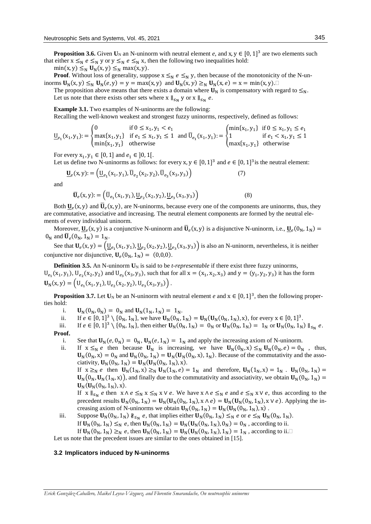**Proposition 3.6.** Given  $U_N$  an N-uninorm with neutral element *e*, and x,  $y \in [0, 1]^3$  are two elements such that either  $x \leq_N e \leq_N y$  or  $y \leq_N e \leq_N x$ , then the following two inequalities hold:

 $min(x, y) \leq_N U_N(x, y) \leq_N max(x, y).$ 

**Proof**. Without loss of generality, suppose  $x \leq_N e \leq_N y$ , then because of the monotonicity of the N-uninorms  $\mathbf{U}_N(x, y) \leq_N \mathbf{U}_N(e, y) = y = \max(x, y)$  and  $\mathbf{U}_N(x, y) \geq_N \mathbf{U}_N(x, e) = x = \min(x, y)$ .

The proposition above means that there exists a domain where  $U_N$  is compensatory with regard to  $\leq_N$ . Let us note that there exists other sets where  $x \parallel_{\leq_N} y$  or  $x \parallel_{\leq_N} e$ .

**Example 3.1.** Two examples of N-uninorms are the following:

Recalling the well-known weakest and strongest fuzzy uninorms, respectively, defined as follows:

$$
\underline{\mathbf{U}}_{e_1}(x_1, y_1) := \begin{cases} 0 & \text{if } 0 \le x_1, y_1 < e_1 \\ \max\{x_1, y_1\} & \text{if } e_1 \le x_1, y_1 \le 1 \\ \min\{x_1, y_1\} & \text{otherwise} \end{cases} \text{ and } \overline{\mathbf{U}}_{e_1}(x_1, y_1) := \begin{cases} \min\{x_1, y_1\} & \text{if } 0 \le x_1, y_1 \le e_1 \\ 1 & \text{if } e_1 < x_1, y_1 \le 1 \\ \max\{x_1, y_1\} & \text{otherwise} \end{cases}
$$

For every  $x_1, y_1 \in [0, 1]$  and  $e_1 \in ]0, 1[$ .

Let us define two N-uninorms as follows: for every  $x, y \in [0, 1]^3$  and  $e \in [0, 1]^3$  is the neutral element:

$$
\underline{\mathbf{U}}_e(\mathbf{x}, \mathbf{y}) := \left( \underline{\mathbf{U}}_{e_1}(\mathbf{x}_1, \mathbf{y}_1), \overline{\mathbf{U}}_{e_2}(\mathbf{x}_2, \mathbf{y}_2), \overline{\mathbf{U}}_{e_3}(\mathbf{x}_3, \mathbf{y}_3) \right)
$$
(7)

and

$$
\overline{\mathbf{U}}_e(\mathbf{x}, \mathbf{y}) := \left( \overline{\mathbf{U}}_{e_1}(\mathbf{x}_1, \mathbf{y}_1), \underline{\mathbf{U}}_{e_2}(\mathbf{x}_2, \mathbf{y}_2), \underline{\mathbf{U}}_{e_3}(\mathbf{x}_3, \mathbf{y}_3) \right)
$$
(8)

Both  $\underline{U}_e(x, y)$  and  $\overline{U}_e(x, y)$ , are N-uninorms, because every one of the components are uninorms, thus, they are commutative, associative and increasing. The neutral element components are formed by the neutral elements of every individual uninorm.

Moreover,  $\underline{U}_e(x, y)$  is a conjunctive N-uninorm and  $\overline{U}_e(x, y)$  is a disjunctive N-uninorm, i.e.,  $\underline{U}_e(0_N, 1_N)$  =  $0_N$  and  $\overline{\mathbf{U}}_e(0_N, 1_N) = 1_N$ .

See that  $U_e(x, y) = (U_{e_1}(x_1, y_1), U_{e_2}(x_2, y_2), U_{e_3}(x_3, y_3))$  is also an N-uninorm, nevertheless, it is neither conjunctive nor disjunctive,  $U_e(0_N, 1_N) = (0,0,0)$ .

**Definition 3.5.** An N-uninorm  $U_N$  is said to be *t-representable* if there exist three fuzzy uninorms,  $U_{e_1}(x_1, y_1)$ ,  $U_{e_2}(x_2, y_2)$  and  $U_{e_3}(x_3, y_3)$ , such that for all  $x = (x_1, x_2, x_3)$  and  $y = (y_1, y_2, y_3)$  it has the form  $\mathbf{U}_N(\mathbf{x}, \mathbf{y}) = (\mathbf{U}_{e_1}(\mathbf{x}_1, \mathbf{y}_1), \mathbf{U}_{e_2}(\mathbf{x}_2, \mathbf{y}_2), \mathbf{U}_{e_3}(\mathbf{x}_3, \mathbf{y}_3)).$ 

**Proposition 3.7.** Let  $U_N$  be an N-uninorm with neutral element *e* and  $x \in [0, 1]^3$ , then the following properties hold:

- i.  $\mathbf{U}_N(0_N, 0_N) = 0_N$  and  $\mathbf{U}_N(1_N, 1_N) = 1_N$ .<br>ii. If  $e \in [0, 1]^3 \setminus \{0_N, 1_N\}$ , we have  $\mathbf{U}_N(0_N)$ .
- ii. If  $e \in [0, 1]^3 \setminus \{0_N, 1_N\}$ , we have  $U_N(0_N, 1_N) = U_N(U_N(0_N, 1_N), x)$ , for every  $x \in [0, 1]^3$ .
- iii. If  $e \in [0, 1]^3 \setminus \{0_N, 1_N\}$ , then either  $\mathbf{U}_N(0_N, 1_N) = 0_N$  or  $\mathbf{U}_N(0_N, 1_N) = 1_N$  or  $\mathbf{U}_N(0_N, 1_N) \parallel_{\leq N} e$ .

**Proof.**

i. See that  $\mathbf{U}_N(e, 0_N) = 0_N$ ,  $\mathbf{U}_N(e, 1_N) = 1_N$  and apply the increasing axiom of N-uninorm.<br>ii. If  $x \leq_N e$  then because  $\mathbf{U}_N$  is increasing. we have  $\mathbf{U}_N(0_N, x) \leq_N \mathbf{U}_N(0_N, e) = 0_N$ 

If  $x \leq_N e$  then because  $U_N$  is increasing, we have  $U_N(0_N, x) \leq_N U_N(0_N, e) = 0_N$ , thus,  $\mathbf{U}_N(0_N, x) = 0_N$  and  $\mathbf{U}_N(0_N, 1_N) = \mathbf{U}_N(\mathbf{U}_N(0_N, x), 1_N)$ . Because of the commutativity and the associativity,  $U_N(0_N, 1_N) = U_N(U_N(0_N, 1_N), x)$ .

If  $x \geq_N e$  then  $U_N(1_N, x) \geq_N U_N(1_N, e) = 1_N$  and therefore,  $U_N(1_N, x) = 1_N$ .  $U_N(0_N, 1_N) =$  $\mathbf{U}_N(0_N,\mathbf{U}_N(1_N,x))$ , and finally due to the commutativity and associativity, we obtain  $\mathbf{U}_N(0_N, 1_N)$  =  $$ 

If  $x \|_{\leq_N} e$  then  $x \wedge e \leq_N x \leq_N x \vee e$ . We have  $x \wedge e \leq_N e$  and  $e \leq_N x \vee e$ , thus according to the precedent results  $\mathbf{U}_N(0_N, 1_N) = \mathbf{U}_N(\mathbf{U}_N(0_N, 1_N), x \wedge e) = \mathbf{U}_N(\mathbf{U}_N(0_N, 1_N), x \vee e)$ . Applying the increasing axiom of N-uninorms we obtain  $U_N(0_N, 1_N) = U_N(U_N(0_N, 1_N), x)$ .

iii. Suppose  $\mathbf{U}_N(0_N, 1_N) \nparallel_{\leq_N} e$ , that implies either  $\mathbf{U}_N(0_N, 1_N) \leq_N e$  or  $e \leq_N \mathbf{U}_N(0_N, 1_N)$ . If  $\mathbf{U}_N(0_N, 1_N) \leq_N e$ , then  $\mathbf{U}_N(0_N, 1_N) = \mathbf{U}_N(\mathbf{U}_N(0_N, 1_N), 0_N) = 0_N$ , according to ii.

If  $\mathbf{U}_N(0_N, 1_N) \geq_N e$ , then  $\mathbf{U}_N(0_N, 1_N) = \mathbf{U}_N(\mathbf{U}_N(0_N, 1_N), 1_N) = 1_N$ , according to ii.

Let us note that the precedent issues are similar to the ones obtained in [15].

## **3.2 Implicators induced by N-uninorms**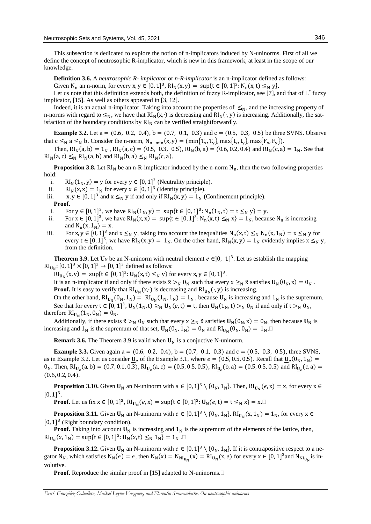This subsection is dedicated to explore the notion of n-implicators induced by N-uninorms. First of all we define the concept of neutrosophic R-implicator, which is new in this framework, at least in the scope of our knowledge.

**Definition 3.6.** A *neutrosophic R- implicator* or *n-R-implicator* is an n-implicator defined as follows: Given N<sub>n</sub> an n-norm, for every  $x, y \in [0, 1]^3$ ,  $Rl_N(x, y) = \sup\{t \in [0, 1]^3 : N_n(x, t) \leq_N y\}.$ 

Let us note that this definition extends both, the definition of fuzzy R-implicator, see [7], and that of L<sup>\*</sup> fuzzy implicator, [15]. As well as others appeared in [3, 12].

Indeed, it is an actual n-implicator. Taking into account the properties of  $\leq_N$ , and the increasing property of n-norms with regard to  $\leq_N$ , we have that RI<sub>N</sub>(x,⋅) is decreasing and RI<sub>N</sub>(⋅, y) is increasing. Additionally, the satisfaction of the boundary conditions by  $\text{RI}_\text{N}$  can be verified straightforwardly.

**Example 3.2.** Let a =  $(0.6, 0.2, 0.4)$ , b =  $(0.7, 0.1, 0.3)$  and  $c = (0.5, 0.3, 0.5)$  be three SVNS. Observe that  $c \leq_N a \leq_N b$ . Consider the n-norm,  $N_{n-min}(x, y) = (min{T_x, T_y}, max{I_x, I_y}, max{F_x, F_y}).$ 

Then,  $RI_N(a, b) = 1_N$ ,  $RI_N(a, c) = (0.5, 0.3, 0.5), RI_N(b, a) = (0.6, 0.2, 0.4)$  and  $RI_N(c, a) = 1_N$ . See that  $RI_N(a, c) \leq_N RI_N(a, b)$  and  $RI_N(b, a) \leq_N RI_N(c, a)$ .

**Proposition 3.8.** Let  $RI_N$  be an n-R-implicator induced by the n-norm  $N_n$ , then the two following properties hold:

i.  $\text{RI}_N(1_N, y) = y$  for every  $y \in [0, 1]^3$  (Neutrality principle).

ii.  $\text{RI}_N(x, x) = 1_N$  for every  $x \in [0, 1]^3$  (Identity principle).

iii.  $x, y \in [0, 1]^3$  and  $x \leq_N y$  if and only if  $\text{RI}_N(x, y) = 1_N$  (Confinement principle).

#### **Proof.**

- i. For  $y \in [0, 1]^3$ , we have  $\text{RI}_N(1_N, y) = \text{sup}\{t \in [0, 1]^3 : N_n(1_N, t) = t \leq_N y\} = y$ .
- ii. For  $x \in [0, 1]^3$ , we have  $\text{RI}_N(x, x) = \text{sup}\{t \in [0, 1]^3 : N_n(x, t) \leq_N x\} = 1_N$ , because  $N_n$  is increasing and  $N_n(x, 1_N) = x$ .
- iii. For x,  $y \in [0, 1]^3$  and  $x \leq_N y$ , taking into account the inequalities  $N_n(x, t) \leq_N N_n(x, 1_N) = x \leq_N y$  for every  $t \in [0, 1]^3$ , we have  $RI_N(x, y) = 1_N$ . On the other hand,  $RI_N(x, y) = 1_N$  evidently implies  $x \leq_N y$ , from the definition.

**Theorem 3.9.** Let  $U_N$  be an N-uninorm with neutral element  $e \in ]0, 1[^3$ . Let us establish the mapping  $\text{RI}_{\mathbf{U}_N}$ : [0, 1]<sup>3</sup> × [0, 1]<sup>3</sup> → [0, 1]<sup>3</sup> defined as follows:

 $\text{RI}_{\mathbf{U}_{\mathbf{N}}}(x, y) = \text{ sup}\{\mathbf{t} \in [0, 1]^3 \colon \mathbf{U}_{\mathbf{N}}(x, \mathbf{t}) \leq_{\mathbf{N}} y\} \text{ for every } x, y \in [0, 1]^3.$ 

It is an n-implicator if and only if there exists  $\tilde{x} >_N 0_N$  such that every  $x \ge_N \tilde{x}$  satisfies  $U_N(0_N, x) = 0_N$ . **Proof.** It is easy to verify that  $\text{RI}_{U_N}(x, \cdot)$  is decreasing and  $\text{RI}_{U_N}(\cdot, y)$  is increasing.

On the other hand,  $\text{RI}_{U_N}(0_N, 1_N) = \text{RI}_{U_N}(1_N, 1_N) = 1_N$ , because  $U_N$  is increasing and  $1_N$  is the supremum. See that for every  $t \in [0,1]^3$ ,  $U_N(1_N,t) \geq_N U_N(e,t) = t$ , then  $U_N(1_N,t) >_N 0_N$  if and only if  $t >_N 0_N$ , therefore  $\text{RI}_{\mathbf{U}_{\mathbf{N}}}(\mathbf{1}_{\mathbf{N}}, \mathbf{0}_{\mathbf{N}}) = \mathbf{0}_{\mathbf{N}}$ .

Additionally, if there exists  $\tilde{x} >_N 0_N$  such that every  $x \ge_N \tilde{x}$  satisfies  $U_N(0_N, x) = 0_N$ , then because  $U_N$  is increasing and  $1_N$  is the supremum of that set,  $\mathbf{U}_N(0_N, 1_N) = 0_N$  and  $\text{RI}_{\mathbf{U}_N}(0_N, 0_N) = 1_N$ .

**Remark 3.6.** The Theorem 3.9 is valid when  $U_N$  is a conjuctive N-uninorm.

**Example 3.3.** Given again a = (0.6, 0.2, 0.4), b = (0.7, 0.1, 0.3) and c = (0.5, 0.3, 0.5), three SVNS, as in Example 3.2. Let us consider  $\underline{U}_e$  of the Example 3.1, where  $e = (0.5, 0.5, 0.5)$ . Recall that  $\underline{U}_e(0_N, 1_N) =$  $0_N$ . Then, RI<sub>U<sub>e</sub></sub>(a, b) = (0.7, 0.1, 0.3), RI<sub>U<sub>e</sub></sub>(a, c) = (0.5, 0.5, 0.5), RI<sub>U<sub>e</sub></sub>(b, a) = (0.5, 0.5, 0.5) and RI<sub>U<sub>e</sub></sub>(c, a) =  $(0.6, 0.2, 0.4).$ 

**Proposition 3.10.** Given  $U_N$  an N-uninorm with  $e \in [0, 1]^3 \setminus \{0_N, 1_N\}$ . Then,  $\text{RI}_{U_N}(e, x) = x$ , for every  $x \in$  $[0, 1]^3$ .

**Proof.** Let us fix  $x \in [0, 1]^3$ ,  $\text{RI}_{U_N}(e, x) = \sup\{t \in [0, 1]^3 : U_N(e, t) = t ≤_N x\} = x. □$ 

**Proposition 3.11.** Given  $U_N$  an N-uninorm with  $e \in [0, 1]^3 \setminus \{0_N, 1_N\}$ .  $\text{RI}_{U_N}(x, 1_N) = 1_N$ , for every  $x \in$ [0, 1]<sup>3</sup> (Right boundary condition).

**Proof.** Taking into account  $\mathbf{U}_N$  is increasing and  $\mathbf{1}_N$  is the supremum of the elements of the lattice, then,  $\text{RI}_{\text{U}_N}(x, 1_N) = \sup\{t \in [0, 1]^3 : \text{U}_N(x, t) \leq_N 1_N\} = 1_N$ .

**Proposition 3.12.** Given  $U_N$  an N-uninorm with  $e \in [0, 1]^3 \setminus \{0_N, 1_N\}$ . If it is contrapositive respect to a negator N<sub>N</sub>, which satisfies  $N_N(e) = e$ , then  $N_N(x) = N_{N1_{U_N}}(x) = RI_{U_N}(x, e)$  for every  $x \in [0, 1]^3$  and  $N_{N1_{U_N}}$  is involutive.

**Proof.** Reproduce the similar proof in [15] adapted to N-uninorms.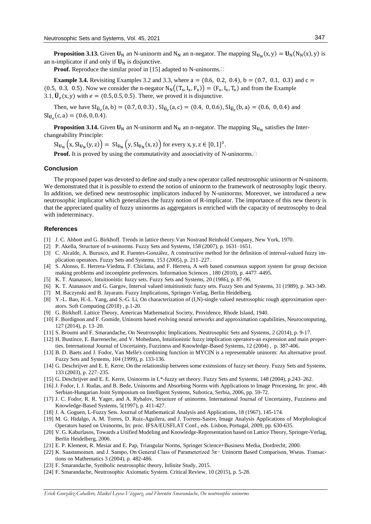**Proposition 3.13.** Given  $U_N$  an N-uninorm and N<sub>N</sub> an n-negator. The mapping  $SI_{U_N}(x, y) = U_N(N_N(x), y)$  is an n-implicator if and only if  $U_N$  is disjunctive.

**Proof.** Reproduce the similar proof in [15] adapted to N-uninorms.

**Example 3.4.** Revisiting Examples 3.2 and 3.3, where  $a = (0.6, 0.2, 0.4)$ ,  $b = (0.7, 0.1, 0.3)$  and  $c =$ (0.5, 0.3, 0.5). Now we consider the n-negator  $N_N((T_x, I_x, F_x)) = (F_x, I_x, T_x)$  and from the Example 3.1,  $\overline{\mathbf{U}}_e$ (x, y) with  $e = (0.5, 0.5, 0.5)$ . There, we proved it is disjunctive.

Then, we have  $SI_{\bar{U}_e}(a, b) = (0.7, 0, 0.3)$ ,  $SI_{\bar{U}_e}(a, c) = (0.4, 0, 0.6)$ ,  $SI_{\bar{U}_e}(b, a) = (0.6, 0, 0.4)$  and  $SI_{\bar{U}_e}(c, a) = (0.6, 0, 0.4).$ 

**Proposition 3.14.** Given  $U_N$  an N-uninorm and  $N_N$  an n-negator. The mapping  $Sl_{U_N}$  satisfies the Interchangeability Principle:

 $\text{SI}_{U_{N}}(x, \text{SI}_{U_{N}}(y, z)) = \text{SI}_{U_{N}}(y, \text{SI}_{U_{N}}(x, z))$  for every x, y, z  $\in [0, 1]^{3}$ .

**Proof.** It is proved by using the commutativity and associativity of N-uninorms.

#### **Conclusion**

The proposed paper was devoted to define and study a new operator called neutrosophic uninorm or N-uninorm. We demonstrated that it is possible to extend the notion of uninorm to the framework of neutrosophy logic theory. In addition, we defined new neutrosophic implicators induced by N-uninorms. Moreover, we introduced a new neutrosophic implicator which generalizes the fuzzy notion of R-implicator. The importance of this new theory is that the appreciated quality of fuzzy uninorms as aggregators is enriched with the capacity of neutrosophy to deal with indeterminacy.

#### **References**

- [1] J. C. Abbott and G. Birkhoff. Trends in lattice theory.Van Nostrand Reinhold Company, New York, 1970.
- [2] P. Akella, Structure of n-uninorms. Fuzzy Sets and Systems, 158 (2007), p. 1631–1651.
- [3] C. Alcalde, A. Burusco, and R. Fuentes-González, A constructive method for the definition of interval-valued fuzzy implication operators. Fuzzy Sets and Systems, 153 (2005), p. 211–227.
- [4] S. Alonso, E. Herrera-Viedma, F. Chiclana, and F. Herrera, A web based consensus support system for group decision making problems and incomplete preferences. Information Sciences , 180 (2010), p. 4477–4495.
- [5] K. T. Atanassov, Intuitionistic fuzzy sets. Fuzzy Sets and Systems, 20 (1986), p. 87-96.
- [6] K. T. Atanassov and G. Gargov, Interval valued intuitionistic fuzzy sets. Fuzzy Sets and Systems, 31 (1989), p. 343-349.
- [7] M. Baczynski and B. Jayaram. Fuzzy Implications, Springer-Verlag, Berlin Heidelberg.
- [8] Y.-L. Bao, H.-L. Yang, and S.-G. Li, On characterization of (I,N)-single valued neutrosophic rough approximation operators. Soft Computing (2018) , p.1-20.
- [9] G. Birkhoff. Lattice Theory, American Mathematical Society, Providence, Rhode Island, 1940.
- [10] F. Bordignon and F. Gomide, Uninorm based evolving neural networks and approximation capabilities, Neurocomputing, 127 (2014), p. 13–20.
- [11] S. Broumi and F. Smarandache, On Neutrosophic Implications. Neutrosophic Sets and Systems, 2 (2014), p. 9-17.
- [12] H. Bustince, E. Barreneche, and V. Mohedano, Intuitionistic fuzzy implication operators-an expression and main properties. International Journal of Uncertainty, Fuzziness and Knowledge-Based Systems, 12 (2004) , p. 387-406.
- [13] B. D. Baets and J. Fodor, Van Melle's combining function in MYCIN is a representable uninorm: An alternative proof. Fuzzy Sets and Systems, 104 (1999), p. 133-136.
- [14] G. Deschrijver and E. E. Kerre, On the relationship between some extensions of fuzzy set theory. Fuzzy Sets and Systems, 133 (2003), p. 227–235.
- [15] G. Deschrijver and E. E. Kerre, Uninorms in L\*-fuzzy set theory. Fuzzy Sets and Systems, 148 (2004), p.243–262.
- [16] J. Fodor, I. J. Rudas, and B. Bede, Uninorms and Absorbing Norms with Applications to Image Processing, In: proc. 4th Serbian-Hungarian Joint Symposium on Intelligent Systems, Subotica, Serbia, 2006, pp. 59-72.
- [17] J. C. Fodor, R. R. Yager, and A. Rybalov, Structure of uninorms. International Journal of Uncertainty, Fuzziness and Knowledge-Based Systems, 5(1997), p. 411-427.
- [18] J. A. Goguen, L-Fuzzy Sets. Journal of Mathematical Analysis and Applications, 18 (1967), 145-174.
- [19] M. G. Hidalgo, A. M. Torres, D. Ruiz-Aguilera, and J. Torrens-Sastre, Image Analysis Applications of Morphological Operators based on Uninorms, In: proc. IFSA/EUSFLAT Conf., eds. Lisbon, Portugal, 2009, pp. 630-635.
- [20] V. G. Kaburlasos, Towards a Unified Modeling and Knowledge-Representation based on Lattice Theory, Springer-Verlag, Berlin Heidelberg, 2006.
- [21] E. P. Klement, R. Mesiar and E. Pap, Triangular Norms, Springer Science+Business Media, Dordrecht, 2000.
- [22] K. Saastamoinen. and J. Sampo, On General Class of Parameterized 3π− Uninorm Based Comparison, Wseas. Transactions on Mathematics 3 (2004), p. 482-486.
- [23] F. Smarandache, Symbolic neutrosophic theory, Infinite Study, 2015.
- [24] F. Smarandache, Neutrosophic Axiomatic System. Critical Review, 10 (2015), p. 5-28.